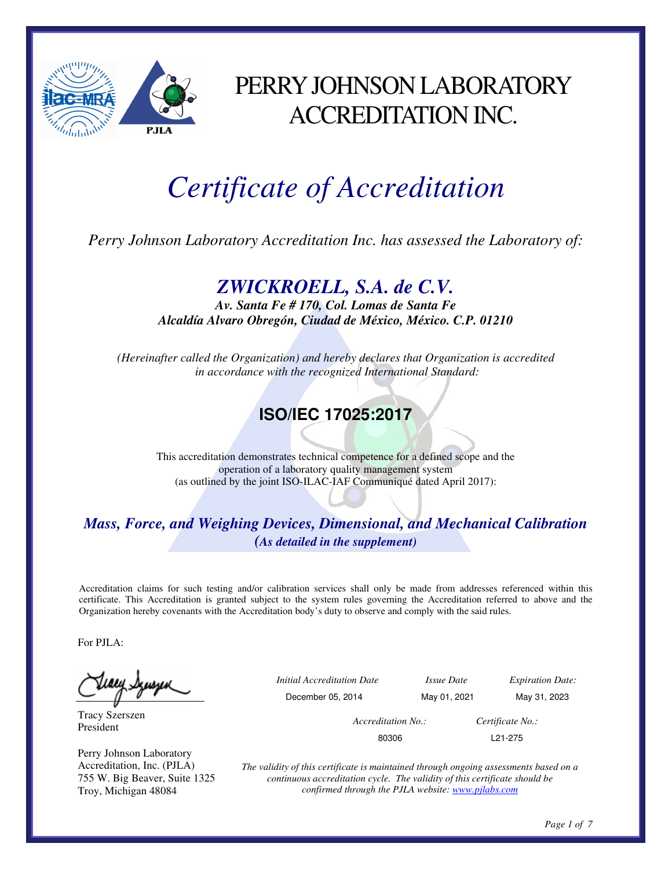

## PERRY JOHNSON LABORATORY ACCREDITATION INC.

# *Certificate of Accreditation*

*Perry Johnson Laboratory Accreditation Inc. has assessed the Laboratory of:* 

### *ZWICKROELL, S.A. de C.V.*

*Av. Santa Fe # 170, Col. Lomas de Santa Fe Alcaldía Alvaro Obregón, Ciudad de México, México. C.P. 01210* 

*(Hereinafter called the Organization) and hereby declares that Organization is accredited in accordance with the recognized International Standard:* 

## **ISO/IEC 17025:2017**

This accreditation demonstrates technical competence for a defined scope and the operation of a laboratory quality management system (as outlined by the joint ISO-ILAC-IAF Communiqué dated April 2017):

#### *Mass, Force, and Weighing Devices, Dimensional, and Mechanical Calibration (As detailed in the supplement)*

Accreditation claims for such testing and/or calibration services shall only be made from addresses referenced within this certificate. This Accreditation is granted subject to the system rules governing the Accreditation referred to above and the Organization hereby covenants with the Accreditation body's duty to observe and comply with the said rules.

For PJLA:

Tracy Szerszen President

Perry Johnson Laboratory Accreditation, Inc. (PJLA) 755 W. Big Beaver, Suite 1325 Troy, Michigan 48084

 *Initial Accreditation Date Issue Date Expiration Date:*  December 05, 2014 May 01, 2021 May 31, 2023

 *Accreditation No.: Certificate No.:* 

80306 L21-275

*The validity of this certificate is maintained through ongoing assessments based on a continuous accreditation cycle. The validity of this certificate should be confirmed through the PJLA website: www.pjlabs.com*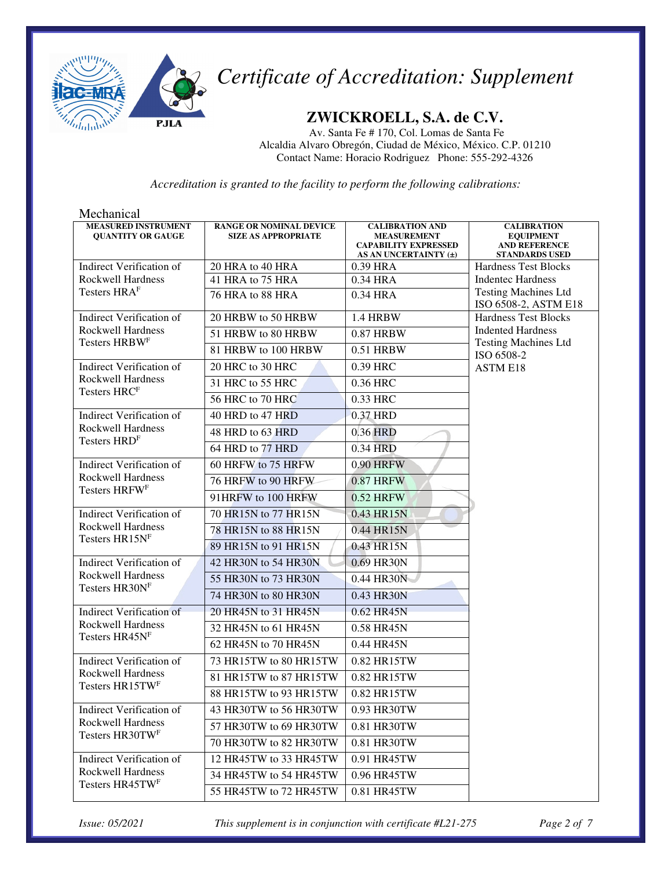

#### **ZWICKROELL, S.A. de C.V.**

Av. Santa Fe # 170, Col. Lomas de Santa Fe Alcaldia Alvaro Obregón, Ciudad de México, México. C.P. 01210 Contact Name: Horacio Rodriguez Phone: 555-292-4326

*Accreditation is granted to the facility to perform the following calibrations:*

| Mechanical                                             |                                                              |                                                                                                      |                                                                                         |
|--------------------------------------------------------|--------------------------------------------------------------|------------------------------------------------------------------------------------------------------|-----------------------------------------------------------------------------------------|
| <b>MEASURED INSTRUMENT</b><br><b>OUANTITY OR GAUGE</b> | <b>RANGE OR NOMINAL DEVICE</b><br><b>SIZE AS APPROPRIATE</b> | <b>CALIBRATION AND</b><br><b>MEASUREMENT</b><br><b>CAPABILITY EXPRESSED</b><br>AS AN UNCERTAINTY (±) | <b>CALIBRATION</b><br><b>EQUIPMENT</b><br><b>AND REFERENCE</b><br><b>STANDARDS USED</b> |
| <b>Indirect Verification of</b>                        | 20 HRA to 40 HRA                                             | 0.39 HRA                                                                                             | <b>Hardness Test Blocks</b>                                                             |
| <b>Rockwell Hardness</b>                               | 41 HRA to 75 HRA                                             | 0.34 HRA                                                                                             | <b>Indentec Hardness</b>                                                                |
| Testers HRAF                                           | 76 HRA to 88 HRA                                             | 0.34 HRA                                                                                             | <b>Testing Machines Ltd</b><br>ISO 6508-2, ASTM E18                                     |
| <b>Indirect Verification of</b>                        | 20 HRBW to 50 HRBW                                           | 1.4 HRBW                                                                                             | <b>Hardness Test Blocks</b>                                                             |
| <b>Rockwell Hardness</b><br>Testers HRBWF              | 51 HRBW to 80 HRBW                                           | 0.87 HRBW                                                                                            | <b>Indented Hardness</b><br><b>Testing Machines Ltd</b>                                 |
|                                                        | 81 HRBW to 100 HRBW                                          | 0.51 HRBW                                                                                            | ISO 6508-2                                                                              |
| <b>Indirect Verification of</b>                        | 20 HRC to 30 HRC                                             | 0.39 HRC                                                                                             | <b>ASTM E18</b>                                                                         |
| <b>Rockwell Hardness</b><br>Testers HRCF               | 31 HRC to 55 HRC                                             | 0.36 HRC                                                                                             |                                                                                         |
|                                                        | 56 HRC to 70 HRC                                             | 0.33 HRC                                                                                             |                                                                                         |
| <b>Indirect Verification of</b>                        | 40 HRD to 47 HRD                                             | 0.37 HRD                                                                                             |                                                                                         |
| Rockwell Hardness<br>Testers HRDF                      | 48 HRD to 63 HRD                                             | 0.36 HRD                                                                                             |                                                                                         |
|                                                        | 64 HRD to 77 HRD                                             | 0.34 HRD                                                                                             |                                                                                         |
| <b>Indirect Verification of</b>                        | 60 HRFW to 75 HRFW                                           | <b>0.90 HRFW</b>                                                                                     |                                                                                         |
| <b>Rockwell Hardness</b>                               | 76 HRFW to 90 HRFW                                           | <b>0.87 HRFW</b>                                                                                     |                                                                                         |
| Testers HRFW <sup>F</sup>                              | 91HRFW to 100 HRFW                                           | 0.52 HRFW                                                                                            |                                                                                         |
| <b>Indirect Verification of</b>                        | 70 HR15N to 77 HR15N                                         | 0.43 HR15N                                                                                           |                                                                                         |
| Rockwell Hardness                                      | 78 HR15N to 88 HR15N                                         | 0.44 HR15N                                                                                           |                                                                                         |
| Testers HR15NF                                         | 89 HR15N to 91 HR15N                                         | 0.43 HR15N                                                                                           |                                                                                         |
| <b>Indirect Verification of</b>                        | 42 HR30N to 54 HR30N                                         | 0.69 HR30N                                                                                           |                                                                                         |
| Rockwell Hardness                                      | 55 HR30N to 73 HR30N                                         | 0.44 HR30N                                                                                           |                                                                                         |
| Testers HR30NF                                         | 74 HR30N to 80 HR30N                                         | 0.43 HR30N                                                                                           |                                                                                         |
| <b>Indirect Verification of</b>                        | 20 HR45N to 31 HR45N                                         | 0.62 HR45N                                                                                           |                                                                                         |
| <b>Rockwell Hardness</b>                               | 32 HR45N to 61 HR45N                                         | 0.58 HR45N                                                                                           |                                                                                         |
| Testers HR45NF                                         | 62 HR45N to 70 HR45N                                         | 0.44 HR45N                                                                                           |                                                                                         |
| <b>Indirect Verification of</b>                        | 73 HR15TW to 80 HR15TW                                       | 0.82 HR15TW                                                                                          |                                                                                         |
| <b>Rockwell Hardness</b>                               | 81 HR15TW to 87 HR15TW                                       | 0.82 HR15TW                                                                                          |                                                                                         |
| Testers HR15TWF                                        | 88 HR15TW to 93 HR15TW                                       | 0.82 HR15TW                                                                                          |                                                                                         |
| <b>Indirect Verification of</b>                        | 43 HR30TW to 56 HR30TW                                       | 0.93 HR30TW                                                                                          |                                                                                         |
| <b>Rockwell Hardness</b>                               | 57 HR30TW to 69 HR30TW                                       | 0.81 HR30TW                                                                                          |                                                                                         |
| Testers HR30TWF                                        | 70 HR30TW to 82 HR30TW                                       | 0.81 HR30TW                                                                                          |                                                                                         |
| <b>Indirect Verification of</b>                        | 12 HR45TW to 33 HR45TW                                       | 0.91 HR45TW                                                                                          |                                                                                         |
| <b>Rockwell Hardness</b>                               | 34 HR45TW to 54 HR45TW                                       | 0.96 HR45TW                                                                                          |                                                                                         |
| Testers HR45TWF                                        | 55 HR45TW to 72 HR45TW                                       | $0.81$ HR45TW                                                                                        |                                                                                         |

*Issue: 05/2021 This supplement is in conjunction with certificate #L21-275 Page 2 of 7*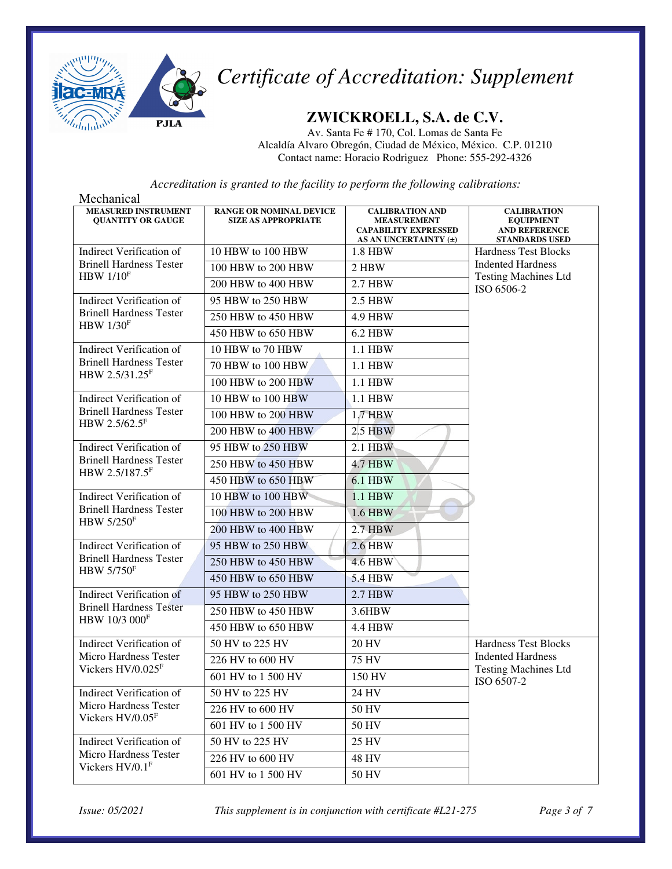

### **ZWICKROELL, S.A. de C.V.**

Av. Santa Fe # 170, Col. Lomas de Santa Fe Alcaldía Alvaro Obregón, Ciudad de México, México. C.P. 01210 Contact name: Horacio Rodriguez Phone: 555-292-4326

*Accreditation is granted to the facility to perform the following calibrations:*

| Mechanical                                             |                                                              |                                                                                                      |                                                                                         |
|--------------------------------------------------------|--------------------------------------------------------------|------------------------------------------------------------------------------------------------------|-----------------------------------------------------------------------------------------|
| <b>MEASURED INSTRUMENT</b><br><b>OUANTITY OR GAUGE</b> | <b>RANGE OR NOMINAL DEVICE</b><br><b>SIZE AS APPROPRIATE</b> | <b>CALIBRATION AND</b><br><b>MEASUREMENT</b><br><b>CAPABILITY EXPRESSED</b><br>AS AN UNCERTAINTY (±) | <b>CALIBRATION</b><br><b>EQUIPMENT</b><br><b>AND REFERENCE</b><br><b>STANDARDS USED</b> |
| <b>Indirect Verification of</b>                        | 10 HBW to 100 HBW                                            | 1.8 HBW                                                                                              | <b>Hardness Test Blocks</b>                                                             |
| <b>Brinell Hardness Tester</b>                         | 100 HBW to 200 HBW                                           | 2 HBW                                                                                                | <b>Indented Hardness</b>                                                                |
| HBW $1/10F$                                            | 200 HBW to 400 HBW                                           | 2.7 HBW                                                                                              | <b>Testing Machines Ltd</b><br>ISO 6506-2                                               |
| Indirect Verification of                               | 95 HBW to 250 HBW                                            | 2.5 HBW                                                                                              |                                                                                         |
| <b>Brinell Hardness Tester</b>                         | 250 HBW to 450 HBW                                           | <b>4.9 HBW</b>                                                                                       |                                                                                         |
| $HBW$ 1/30 <sup>F</sup>                                | 450 HBW to 650 HBW                                           | <b>6.2 HBW</b>                                                                                       |                                                                                         |
| <b>Indirect Verification of</b>                        | 10 HBW to 70 HBW                                             | 1.1 HBW                                                                                              |                                                                                         |
| <b>Brinell Hardness Tester</b>                         | 70 HBW to 100 HBW                                            | 1.1 HBW                                                                                              |                                                                                         |
| HBW 2.5/31.25 <sup>F</sup>                             | 100 HBW to 200 HBW                                           | 1.1 HBW                                                                                              |                                                                                         |
| Indirect Verification of                               | 10 HBW to 100 HBW                                            | 1.1 HBW                                                                                              |                                                                                         |
| <b>Brinell Hardness Tester</b>                         | 100 HBW to 200 HBW                                           | 1.7 HBW                                                                                              |                                                                                         |
| HBW 2.5/62.5 <sup>F</sup>                              | 200 HBW to 400 HBW                                           | $2.5$ HBW                                                                                            |                                                                                         |
| <b>Indirect Verification of</b>                        | 95 HBW to 250 HBW                                            | 2.1 HBW                                                                                              |                                                                                         |
| <b>Brinell Hardness Tester</b>                         | 250 HBW to 450 HBW                                           | <b>4.7 HBW</b>                                                                                       |                                                                                         |
| HBW 2.5/187.5F                                         | 450 HBW to 650 HBW                                           | <b>6.1 HBW</b>                                                                                       |                                                                                         |
| <b>Indirect Verification of</b>                        | 10 HBW to 100 HBW                                            | 1.1 HBW                                                                                              |                                                                                         |
| <b>Brinell Hardness Tester</b>                         | 100 HBW to 200 HBW                                           | 1.6 HBW                                                                                              |                                                                                         |
| <b>HBW 5/250F</b>                                      | 200 HBW to 400 HBW                                           | 2.7 HBW                                                                                              |                                                                                         |
| <b>Indirect Verification of</b>                        | 95 HBW to 250 HBW                                            | <b>2.6 HBW</b>                                                                                       |                                                                                         |
| <b>Brinell Hardness Tester</b>                         | 250 HBW to 450 HBW                                           | <b>4.6 HBW</b>                                                                                       |                                                                                         |
| <b>HBW 5/750F</b>                                      | 450 HBW to 650 HBW                                           | <b>5.4 HBW</b>                                                                                       |                                                                                         |
| <b>Indirect Verification of</b>                        | 95 HBW to 250 HBW                                            | 2.7 HBW                                                                                              |                                                                                         |
| <b>Brinell Hardness Tester</b>                         | 250 HBW to 450 HBW                                           | 3.6HBW                                                                                               |                                                                                         |
| HBW 10/3 000F                                          | 450 HBW to 650 HBW                                           | <b>4.4 HBW</b>                                                                                       |                                                                                         |
| Indirect Verification of                               | 50 HV to 225 HV                                              | <b>20 HV</b>                                                                                         | <b>Hardness Test Blocks</b>                                                             |
| Micro Hardness Tester                                  | 226 HV to 600 HV                                             | <b>75 HV</b>                                                                                         | <b>Indented Hardness</b>                                                                |
| Vickers HV/0.025F                                      | 601 HV to 1 500 HV                                           | 150 HV                                                                                               | <b>Testing Machines Ltd</b><br>ISO 6507-2                                               |
| <b>Indirect Verification of</b>                        | 50 HV to 225 HV                                              | 24 HV                                                                                                |                                                                                         |
| <b>Micro Hardness Tester</b>                           | 226 HV to 600 HV                                             | 50 HV                                                                                                |                                                                                         |
| Vickers HV/0.05F                                       | 601 HV to 1 500 HV                                           | 50 HV                                                                                                |                                                                                         |
| <b>Indirect Verification of</b>                        | 50 HV to 225 HV                                              | 25 HV                                                                                                |                                                                                         |
| Micro Hardness Tester                                  | 226 HV to 600 HV                                             | 48 HV                                                                                                |                                                                                         |
| Vickers HV/0.1F                                        | 601 HV to 1 500 HV                                           | 50 HV                                                                                                |                                                                                         |

*Issue: 05/2021 This supplement is in conjunction with certificate #L21-275 Page 3 of 7*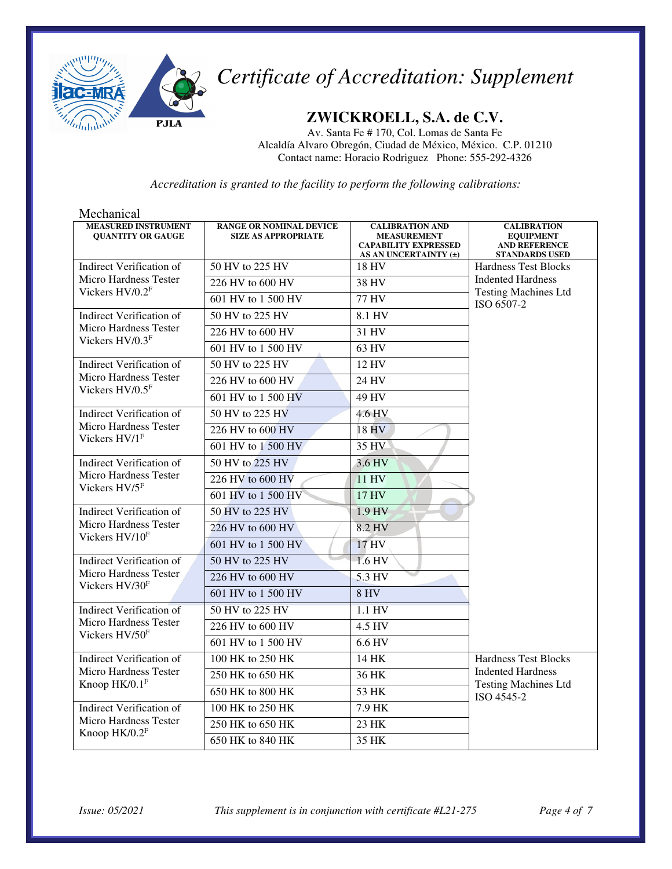

### **ZWICKROELL, S.A. de C.V.**

Av. Santa Fe # 170, Col. Lomas de Santa Fe Alcaldía Alvaro Obregón, Ciudad de México, México. C.P. 01210 Contact name: Horacio Rodriguez Phone: 555-292-4326

*Accreditation is granted to the facility to perform the following calibrations:*

| Mechanical                                             |                                                              |                                                                                                      |                                                                                         |
|--------------------------------------------------------|--------------------------------------------------------------|------------------------------------------------------------------------------------------------------|-----------------------------------------------------------------------------------------|
| <b>MEASURED INSTRUMENT</b><br><b>QUANTITY OR GAUGE</b> | <b>RANGE OR NOMINAL DEVICE</b><br><b>SIZE AS APPROPRIATE</b> | <b>CALIBRATION AND</b><br><b>MEASUREMENT</b><br><b>CAPABILITY EXPRESSED</b><br>AS AN UNCERTAINTY (±) | <b>CALIBRATION</b><br><b>EQUIPMENT</b><br><b>AND REFERENCE</b><br><b>STANDARDS USED</b> |
| Indirect Verification of                               | 50 HV to 225 HV                                              | <b>18 HV</b>                                                                                         | <b>Hardness Test Blocks</b>                                                             |
| <b>Micro Hardness Tester</b><br>Vickers $HV/0.2F$      | 226 HV to 600 HV                                             | 38 HV                                                                                                | <b>Indented Hardness</b>                                                                |
|                                                        | 601 HV to 1 500 HV                                           | 77 HV                                                                                                | <b>Testing Machines Ltd</b><br>ISO 6507-2                                               |
| Indirect Verification of                               | 50 HV to 225 HV                                              | 8.1 HV                                                                                               |                                                                                         |
| <b>Micro Hardness Tester</b>                           | 226 HV to 600 HV                                             | 31 HV                                                                                                |                                                                                         |
| Vickers $HV/0.3F$                                      | 601 HV to 1 500 HV                                           | 63 HV                                                                                                |                                                                                         |
| <b>Indirect Verification of</b>                        | 50 HV to 225 HV                                              | 12 HV                                                                                                |                                                                                         |
| <b>Micro Hardness Tester</b><br>Vickers HV/0.5F        | 226 HV to 600 HV                                             | 24 HV                                                                                                |                                                                                         |
|                                                        | 601 HV to 1 500 HV                                           | 49 HV                                                                                                |                                                                                         |
| <b>Indirect Verification of</b>                        | 50 HV to 225 HV                                              | 4.6 HV                                                                                               |                                                                                         |
| <b>Micro Hardness Tester</b>                           | 226 HV to 600 HV                                             | 18 HV                                                                                                |                                                                                         |
| Vickers $HVIF$                                         | 601 HV to 1 500 HV                                           | 35 HV                                                                                                |                                                                                         |
| <b>Indirect Verification of</b>                        | 50 HV to 225 HV                                              | 3.6 HV                                                                                               |                                                                                         |
| <b>Micro Hardness Tester</b>                           | 226 HV to 600 HV                                             | 11 HV                                                                                                |                                                                                         |
| Vickers HV/5F                                          | 601 HV to 1 500 HV                                           | 17 HV                                                                                                |                                                                                         |
| <b>Indirect Verification of</b>                        | 50 HV to 225 HV                                              | 1.9 HV                                                                                               |                                                                                         |
| <b>Micro Hardness Tester</b><br>Vickers HV/10F         | 226 HV to 600 HV                                             | 8.2 HV                                                                                               |                                                                                         |
|                                                        | 601 HV to 1 500 HV                                           | 17 HV                                                                                                |                                                                                         |
| <b>Indirect Verification of</b>                        | 50 HV to 225 HV                                              | 1.6 HV                                                                                               |                                                                                         |
| <b>Micro Hardness Tester</b><br>Vickers HV/30F         | 226 HV to 600 HV                                             | 5.3 HV                                                                                               |                                                                                         |
|                                                        | 601 HV to 1 500 HV                                           | <b>8 HV</b>                                                                                          |                                                                                         |
| <b>Indirect Verification of</b>                        | 50 HV to 225 HV                                              | 1.1 HV                                                                                               |                                                                                         |
| Micro Hardness Tester<br>Vickers HV/50F                | 226 HV to 600 HV                                             | 4.5 HV                                                                                               |                                                                                         |
|                                                        | 601 HV to 1 500 HV                                           | 6.6 HV                                                                                               |                                                                                         |
| <b>Indirect Verification of</b>                        | 100 HK to 250 HK                                             | 14 HK                                                                                                | Hardness Test Blocks                                                                    |
| <b>Micro Hardness Tester</b>                           | 250 HK to 650 HK                                             | 36 HK                                                                                                | <b>Indented Hardness</b>                                                                |
| Knoop $HK/0.1$ <sup>F</sup>                            | 650 HK to 800 HK                                             | 53 HK                                                                                                | <b>Testing Machines Ltd</b><br>ISO 4545-2                                               |
| <b>Indirect Verification of</b>                        | 100 HK to 250 HK                                             | 7.9 HK                                                                                               |                                                                                         |
| <b>Micro Hardness Tester</b>                           | 250 HK to 650 HK                                             | $23$ HK                                                                                              |                                                                                         |
| Knoop $HK/0.2F$                                        | 650 HK to 840 HK                                             | 35 HK                                                                                                |                                                                                         |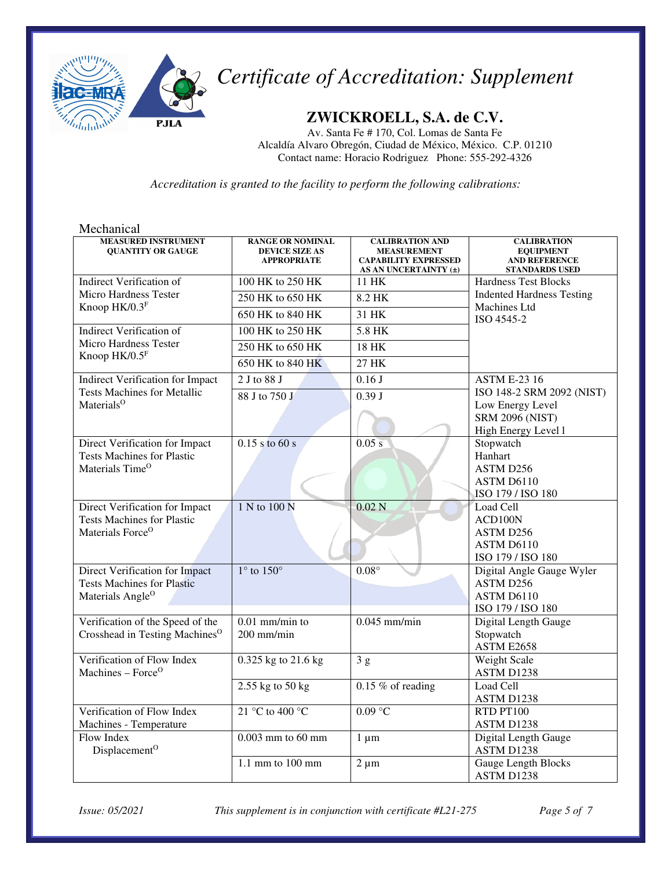

### **ZWICKROELL, S.A. de C.V.**

Av. Santa Fe # 170, Col. Lomas de Santa Fe Alcaldía Alvaro Obregón, Ciudad de México, México. C.P. 01210 Contact name: Horacio Rodriguez Phone: 555-292-4326

*Accreditation is granted to the facility to perform the following calibrations:*

| Mechanical                                                                                          |                                                                        |                                                                                                      |                                                                                         |
|-----------------------------------------------------------------------------------------------------|------------------------------------------------------------------------|------------------------------------------------------------------------------------------------------|-----------------------------------------------------------------------------------------|
| <b>MEASURED INSTRUMENT</b><br><b>QUANTITY OR GAUGE</b>                                              | <b>RANGE OR NOMINAL</b><br><b>DEVICE SIZE AS</b><br><b>APPROPRIATE</b> | <b>CALIBRATION AND</b><br><b>MEASUREMENT</b><br><b>CAPABILITY EXPRESSED</b><br>AS AN UNCERTAINTY (±) | <b>CALIBRATION</b><br><b>EQUIPMENT</b><br><b>AND REFERENCE</b><br><b>STANDARDS USED</b> |
| Indirect Verification of                                                                            | 100 HK to 250 HK                                                       | 11 HK                                                                                                | <b>Hardness Test Blocks</b>                                                             |
| Micro Hardness Tester<br>Knoop HK/0.3F                                                              | 250 HK to 650 HK                                                       | 8.2 HK                                                                                               | <b>Indented Hardness Testing</b><br>Machines Ltd                                        |
|                                                                                                     | 650 HK to 840 HK                                                       | 31 HK                                                                                                | ISO 4545-2                                                                              |
| <b>Indirect Verification of</b>                                                                     | 100 HK to 250 HK                                                       | 5.8 HK                                                                                               |                                                                                         |
| <b>Micro Hardness Tester</b><br>Knoop HK/0.5F                                                       | 250 HK to 650 HK                                                       | <b>18 HK</b>                                                                                         |                                                                                         |
|                                                                                                     | 650 HK to 840 HK                                                       | 27 HK                                                                                                |                                                                                         |
| <b>Indirect Verification for Impact</b>                                                             | 2 J to 88 J                                                            | 0.16J                                                                                                | <b>ASTM E-23 16</b>                                                                     |
| <b>Tests Machines for Metallic</b><br>Materials <sup>O</sup>                                        | 88 J to 750 J                                                          | 0.39J                                                                                                | ISO 148-2 SRM 2092 (NIST)<br>Low Energy Level                                           |
|                                                                                                     |                                                                        |                                                                                                      | <b>SRM 2096 (NIST)</b><br>High Energy Level 1                                           |
| Direct Verification for Impact<br><b>Tests Machines for Plastic</b><br>Materials Time <sup>O</sup>  | $0.15$ s to 60 s                                                       | 0.05 s                                                                                               | Stopwatch<br>Hanhart<br>ASTM D256<br>ASTM D6110<br>ISO 179 / ISO 180                    |
| Direct Verification for Impact<br><b>Tests Machines for Plastic</b><br>Materials Force <sup>O</sup> | 1 N to 100 N                                                           | 0.02N                                                                                                | Load Cell<br>ACD100N<br>ASTM D256<br>ASTM D6110<br>ISO 179 / ISO 180                    |
| Direct Verification for Impact<br><b>Tests Machines for Plastic</b><br>Materials Angle <sup>O</sup> | $1^\circ$ to $150^\circ$                                               | $0.08^\circ$                                                                                         | Digital Angle Gauge Wyler<br>ASTM D256<br>ASTM D6110<br>ISO 179 / ISO 180               |
| Verification of the Speed of the<br>Crosshead in Testing Machines <sup>O</sup>                      | $0.01$ mm/min to<br>200 mm/min                                         | $0.045$ mm/min                                                                                       | Digital Length Gauge<br>Stopwatch<br>ASTM E2658                                         |
| Verification of Flow Index<br>Machines - Force <sup>O</sup>                                         | 0.325 kg to 21.6 kg                                                    | 3g                                                                                                   | <b>Weight Scale</b><br>ASTM D1238                                                       |
|                                                                                                     | 2.55 kg to 50 kg                                                       | $0.15\%$ of reading                                                                                  | Load Cell<br>ASTM D1238                                                                 |
| Verification of Flow Index<br>Machines - Temperature                                                | 21 °C to 400 °C                                                        | $0.09$ °C                                                                                            | RTD PT100<br>ASTM D1238                                                                 |
| Flow Index<br>Displacement <sup>O</sup>                                                             | $0.003$ mm to $60$ mm                                                  | $1 \mu m$                                                                                            | Digital Length Gauge<br>ASTM D1238                                                      |
|                                                                                                     | 1.1 mm to $100$ mm                                                     | $2 \mu m$                                                                                            | <b>Gauge Length Blocks</b><br>ASTM D1238                                                |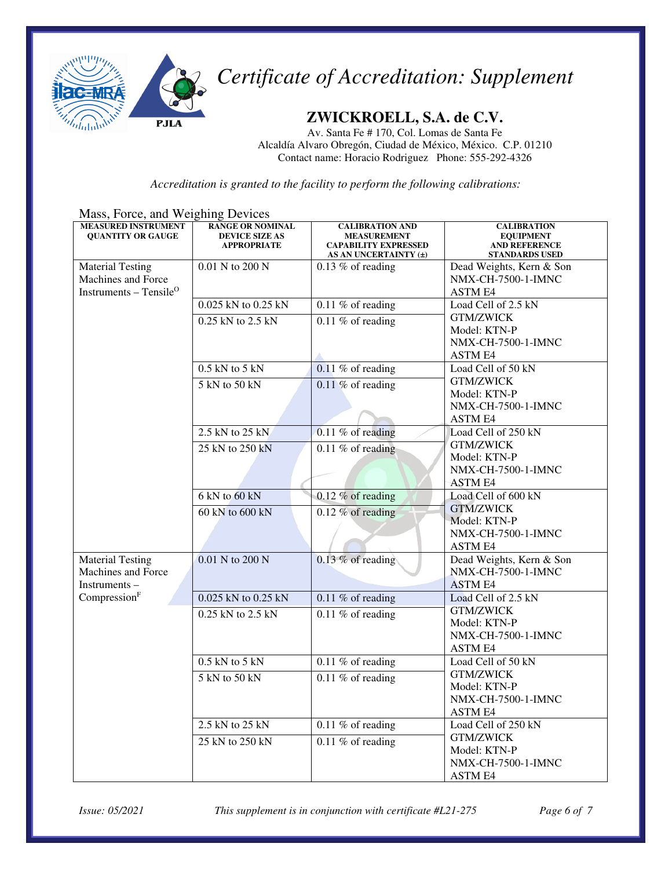

### **ZWICKROELL, S.A. de C.V.**

Av. Santa Fe # 170, Col. Lomas de Santa Fe Alcaldía Alvaro Obregón, Ciudad de México, México. C.P. 01210 Contact name: Horacio Rodriguez Phone: 555-292-4326

*Accreditation is granted to the facility to perform the following calibrations:*

|  | Mass, Force, and Weighing Devices |
|--|-----------------------------------|
|--|-----------------------------------|

| <b>MEASURED INSTRUMENT</b><br><b>QUANTITY OR GAUGE</b> | <b>RANGE OR NOMINAL</b><br><b>DEVICE SIZE AS</b> | <b>CALIBRATION AND</b><br><b>MEASUREMENT</b>         | <b>CALIBRATION</b><br><b>EQUIPMENT</b>        |
|--------------------------------------------------------|--------------------------------------------------|------------------------------------------------------|-----------------------------------------------|
|                                                        | <b>APPROPRIATE</b>                               | <b>CAPABILITY EXPRESSED</b><br>AS AN UNCERTAINTY (±) | <b>AND REFERENCE</b><br><b>STANDARDS USED</b> |
| <b>Material Testing</b>                                | 0.01 N to 200 N                                  | $0.13\%$ of reading                                  | Dead Weights, Kern & Son                      |
| Machines and Force                                     |                                                  |                                                      | <b>NMX-CH-7500-1-IMNC</b>                     |
| Instruments - Tensile <sup>O</sup>                     |                                                  |                                                      | <b>ASTM E4</b>                                |
|                                                        | 0.025 kN to 0.25 kN                              | 0.11 $%$ of reading                                  | Load Cell of 2.5 kN                           |
|                                                        | 0.25 kN to 2.5 kN                                | $0.11\%$ of reading                                  | <b>GTM/ZWICK</b>                              |
|                                                        |                                                  |                                                      | Model: KTN-P                                  |
|                                                        |                                                  |                                                      | NMX-CH-7500-1-IMNC                            |
|                                                        |                                                  |                                                      | ASTM E4                                       |
|                                                        | $0.5$ kN to $5$ kN                               | $0.11\%$ of reading                                  | Load Cell of 50 kN<br><b>GTM/ZWICK</b>        |
|                                                        | $5$ kN to $50$ kN                                | $0.11\%$ of reading                                  | Model: KTN-P                                  |
|                                                        |                                                  |                                                      | NMX-CH-7500-1-IMNC                            |
|                                                        |                                                  |                                                      | ASTM E4                                       |
|                                                        | 2.5 kN to 25 kN                                  | $0.11\%$ of reading                                  | Load Cell of 250 kN                           |
|                                                        | 25 kN to 250 kN                                  |                                                      | <b>GTM/ZWICK</b>                              |
|                                                        |                                                  | $\overline{0.11\%}$ of reading                       | Model: KTN-P                                  |
|                                                        |                                                  |                                                      | NMX-CH-7500-1-IMNC                            |
|                                                        |                                                  |                                                      | <b>ASTM E4</b>                                |
|                                                        | $6 \text{ kN}$ to $60 \text{ kN}$                | $0.12\%$ of reading                                  | Load Cell of 600 kN                           |
|                                                        | 60 kN to 600 kN                                  | $0.12\%$ of reading                                  | <b>GTM/ZWICK</b>                              |
|                                                        |                                                  |                                                      | Model: KTN-P                                  |
|                                                        |                                                  |                                                      | NMX-CH-7500-1-IMNC                            |
|                                                        |                                                  |                                                      | ASTM E4                                       |
| <b>Material Testing</b>                                | 0.01 N to 200 N                                  | $0.13\%$ of reading                                  | Dead Weights, Kern & Son                      |
| Machines and Force                                     |                                                  |                                                      | <b>NMX-CH-7500-1-IMNC</b>                     |
| Instruments-                                           |                                                  |                                                      | <b>ASTM E4</b>                                |
| Compression <sup>F</sup>                               | 0.025 kN to 0.25 kN                              | 0.11 % of reading                                    | Load Cell of 2.5 kN                           |
|                                                        | 0.25 kN to 2.5 kN                                | $0.11\%$ of reading                                  | <b>GTM/ZWICK</b><br>Model: KTN-P              |
|                                                        |                                                  |                                                      | NMX-CH-7500-1-IMNC                            |
|                                                        |                                                  |                                                      | <b>ASTM E4</b>                                |
|                                                        | $0.5$ kN to $5$ kN                               | $\overline{0.11}$ % of reading                       | Load Cell of 50 kN                            |
|                                                        | 5 kN to 50 kN                                    | 0.11 $%$ of reading                                  | <b>GTM/ZWICK</b>                              |
|                                                        |                                                  |                                                      | Model: KTN-P                                  |
|                                                        |                                                  |                                                      | NMX-CH-7500-1-IMNC                            |
|                                                        |                                                  |                                                      | ASTM E4                                       |
|                                                        | 2.5 kN to $25$ kN                                | 0.11 $%$ of reading                                  | Load Cell of 250 kN                           |
|                                                        | 25 kN to 250 kN                                  | $0.11\%$ of reading                                  | <b>GTM/ZWICK</b>                              |
|                                                        |                                                  |                                                      | Model: KTN-P                                  |
|                                                        |                                                  |                                                      | <b>NMX-CH-7500-1-IMNC</b>                     |
|                                                        |                                                  |                                                      | <b>ASTM E4</b>                                |